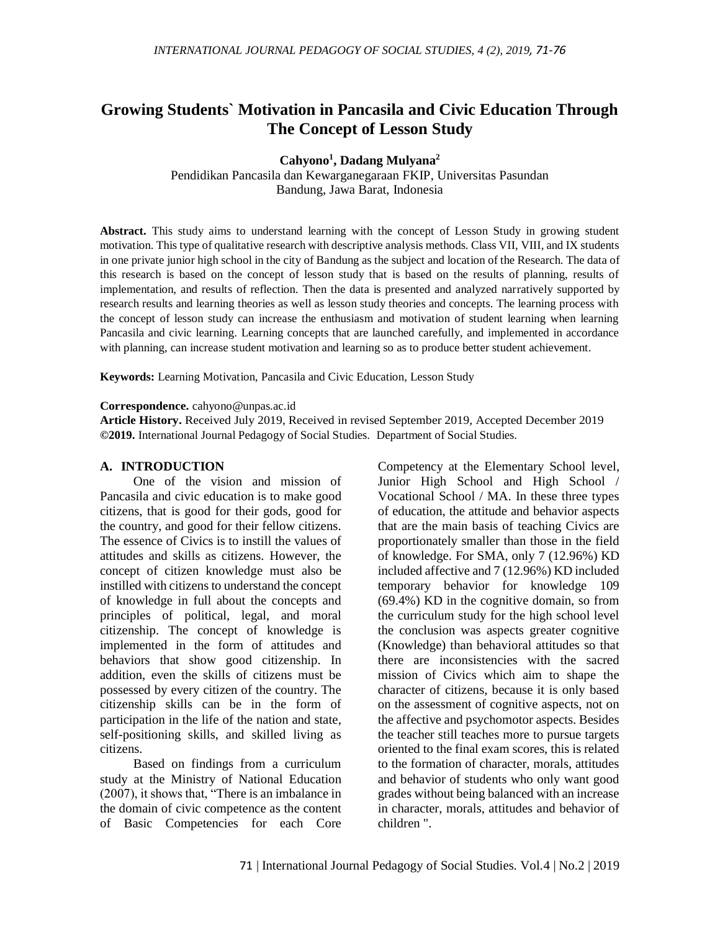# **Growing Students` Motivation in Pancasila and Civic Education Through The Concept of Lesson Study**

**Cahyono<sup>1</sup> , Dadang Mulyana<sup>2</sup>**

Pendidikan Pancasila dan Kewarganegaraan FKIP, Universitas Pasundan Bandung, Jawa Barat, Indonesia

**Abstract.** This study aims to understand learning with the concept of Lesson Study in growing student motivation. This type of qualitative research with descriptive analysis methods. Class VII, VIII, and IX students in one private junior high school in the city of Bandung as the subject and location of the Research. The data of this research is based on the concept of lesson study that is based on the results of planning, results of implementation, and results of reflection. Then the data is presented and analyzed narratively supported by research results and learning theories as well as lesson study theories and concepts. The learning process with the concept of lesson study can increase the enthusiasm and motivation of student learning when learning Pancasila and civic learning. Learning concepts that are launched carefully, and implemented in accordance with planning, can increase student motivation and learning so as to produce better student achievement.

**Keywords:** Learning Motivation, Pancasila and Civic Education, Lesson Study

#### **Correspondence.** [cahyono@unpas.ac.id](mailto:cahyono@unpas.ac.id)

**Article History.** Received July 2019, Received in revised September 2019, Accepted December 2019 **©2019.** International Journal Pedagogy of Social Studies. Department of Social Studies.

#### **A. INTRODUCTION**

One of the vision and mission of Pancasila and civic education is to make good citizens, that is good for their gods, good for the country, and good for their fellow citizens. The essence of Civics is to instill the values of attitudes and skills as citizens. However, the concept of citizen knowledge must also be instilled with citizens to understand the concept of knowledge in full about the concepts and principles of political, legal, and moral citizenship. The concept of knowledge is implemented in the form of attitudes and behaviors that show good citizenship. In addition, even the skills of citizens must be possessed by every citizen of the country. The citizenship skills can be in the form of participation in the life of the nation and state, self-positioning skills, and skilled living as citizens.

Based on findings from a curriculum study at the Ministry of National Education (2007), it shows that, "There is an imbalance in the domain of civic competence as the content of Basic Competencies for each Core

Competency at the Elementary School level, Junior High School and High School / Vocational School / MA. In these three types of education, the attitude and behavior aspects that are the main basis of teaching Civics are proportionately smaller than those in the field of knowledge. For SMA, only 7 (12.96%) KD included affective and 7 (12.96%) KD included temporary behavior for knowledge 109 (69.4%) KD in the cognitive domain, so from the curriculum study for the high school level the conclusion was aspects greater cognitive (Knowledge) than behavioral attitudes so that there are inconsistencies with the sacred mission of Civics which aim to shape the character of citizens, because it is only based on the assessment of cognitive aspects, not on the affective and psychomotor aspects. Besides the teacher still teaches more to pursue targets oriented to the final exam scores, this is related to the formation of character, morals, attitudes and behavior of students who only want good grades without being balanced with an increase in character, morals, attitudes and behavior of children ".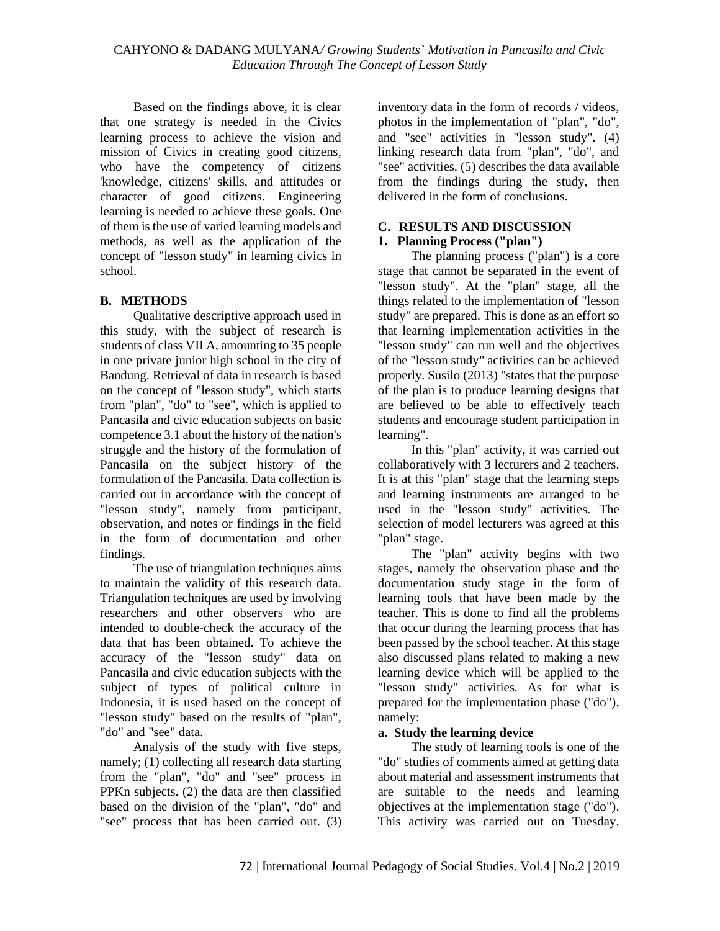Based on the findings above, it is clear that one strategy is needed in the Civics learning process to achieve the vision and mission of Civics in creating good citizens, who have the competency of citizens 'knowledge, citizens' skills, and attitudes or character of good citizens. Engineering learning is needed to achieve these goals. One of them is the use of varied learning models and methods, as well as the application of the concept of "lesson study" in learning civics in school.

## **B. METHODS**

Qualitative descriptive approach used in this study, with the subject of research is students of class VII A, amounting to 35 people in one private junior high school in the city of Bandung. Retrieval of data in research is based on the concept of "lesson study", which starts from "plan", "do" to "see", which is applied to Pancasila and civic education subjects on basic competence 3.1 about the history of the nation's struggle and the history of the formulation of Pancasila on the subject history of the formulation of the Pancasila. Data collection is carried out in accordance with the concept of "lesson study", namely from participant, observation, and notes or findings in the field in the form of documentation and other findings.

The use of triangulation techniques aims to maintain the validity of this research data. Triangulation techniques are used by involving researchers and other observers who are intended to double-check the accuracy of the data that has been obtained. To achieve the accuracy of the "lesson study" data on Pancasila and civic education subjects with the subject of types of political culture in Indonesia, it is used based on the concept of "lesson study" based on the results of "plan", "do" and "see" data.

Analysis of the study with five steps, namely; (1) collecting all research data starting from the "plan", "do" and "see" process in PPKn subjects. (2) the data are then classified based on the division of the "plan", "do" and "see" process that has been carried out. (3)

inventory data in the form of records / videos, photos in the implementation of "plan", "do", and "see" activities in "lesson study". (4) linking research data from "plan", "do", and "see" activities. (5) describes the data available from the findings during the study, then delivered in the form of conclusions.

## **C. RESULTS AND DISCUSSION**

## **1. Planning Process ("plan")**

The planning process ("plan") is a core stage that cannot be separated in the event of "lesson study". At the "plan" stage, all the things related to the implementation of "lesson study" are prepared. This is done as an effort so that learning implementation activities in the "lesson study" can run well and the objectives of the "lesson study" activities can be achieved properly. Susilo (2013) "states that the purpose of the plan is to produce learning designs that are believed to be able to effectively teach students and encourage student participation in learning".

In this "plan" activity, it was carried out collaboratively with 3 lecturers and 2 teachers. It is at this "plan" stage that the learning steps and learning instruments are arranged to be used in the "lesson study" activities. The selection of model lecturers was agreed at this "plan" stage.

The "plan" activity begins with two stages, namely the observation phase and the documentation study stage in the form of learning tools that have been made by the teacher. This is done to find all the problems that occur during the learning process that has been passed by the school teacher. At this stage also discussed plans related to making a new learning device which will be applied to the "lesson study" activities. As for what is prepared for the implementation phase ("do"), namely:

## **a. Study the learning device**

The study of learning tools is one of the "do" studies of comments aimed at getting data about material and assessment instruments that are suitable to the needs and learning objectives at the implementation stage ("do"). This activity was carried out on Tuesday,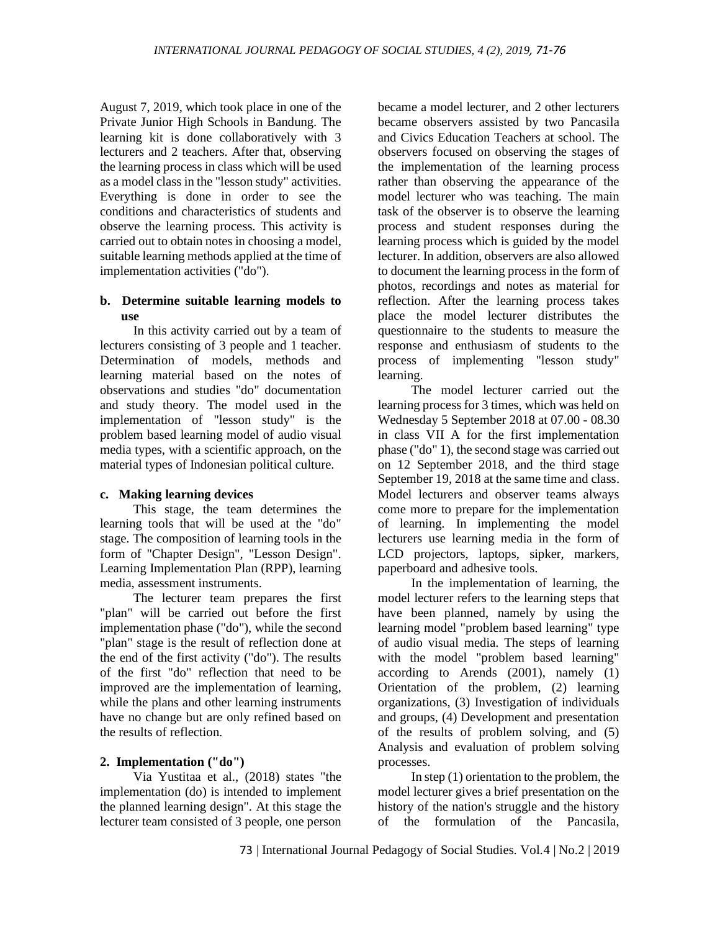August 7, 2019, which took place in one of the Private Junior High Schools in Bandung. The learning kit is done collaboratively with 3 lecturers and 2 teachers. After that, observing the learning process in class which will be used as a model class in the "lesson study" activities. Everything is done in order to see the conditions and characteristics of students and observe the learning process. This activity is carried out to obtain notes in choosing a model, suitable learning methods applied at the time of implementation activities ("do").

### **b. Determine suitable learning models to use**

In this activity carried out by a team of lecturers consisting of 3 people and 1 teacher. Determination of models, methods and learning material based on the notes of observations and studies "do" documentation and study theory. The model used in the implementation of "lesson study" is the problem based learning model of audio visual media types, with a scientific approach, on the material types of Indonesian political culture.

#### **c. Making learning devices**

This stage, the team determines the learning tools that will be used at the "do" stage. The composition of learning tools in the form of "Chapter Design", "Lesson Design". Learning Implementation Plan (RPP), learning media, assessment instruments.

The lecturer team prepares the first "plan" will be carried out before the first implementation phase ("do"), while the second "plan" stage is the result of reflection done at the end of the first activity ("do"). The results of the first "do" reflection that need to be improved are the implementation of learning, while the plans and other learning instruments have no change but are only refined based on the results of reflection.

## **2. Implementation ("do")**

Via Yustitaa et al., (2018) states "the implementation (do) is intended to implement the planned learning design". At this stage the lecturer team consisted of 3 people, one person

became a model lecturer, and 2 other lecturers became observers assisted by two Pancasila and Civics Education Teachers at school. The observers focused on observing the stages of the implementation of the learning process rather than observing the appearance of the model lecturer who was teaching. The main task of the observer is to observe the learning process and student responses during the learning process which is guided by the model lecturer. In addition, observers are also allowed to document the learning process in the form of photos, recordings and notes as material for reflection. After the learning process takes place the model lecturer distributes the questionnaire to the students to measure the response and enthusiasm of students to the process of implementing "lesson study" learning.

The model lecturer carried out the learning process for 3 times, which was held on Wednesday 5 September 2018 at 07.00 - 08.30 in class VII A for the first implementation phase ("do" 1), the second stage was carried out on 12 September 2018, and the third stage September 19, 2018 at the same time and class. Model lecturers and observer teams always come more to prepare for the implementation of learning. In implementing the model lecturers use learning media in the form of LCD projectors, laptops, sipker, markers, paperboard and adhesive tools.

In the implementation of learning, the model lecturer refers to the learning steps that have been planned, namely by using the learning model "problem based learning" type of audio visual media. The steps of learning with the model "problem based learning" according to Arends (2001), namely (1) Orientation of the problem, (2) learning organizations, (3) Investigation of individuals and groups, (4) Development and presentation of the results of problem solving, and (5) Analysis and evaluation of problem solving processes.

In step (1) orientation to the problem, the model lecturer gives a brief presentation on the history of the nation's struggle and the history of the formulation of the Pancasila,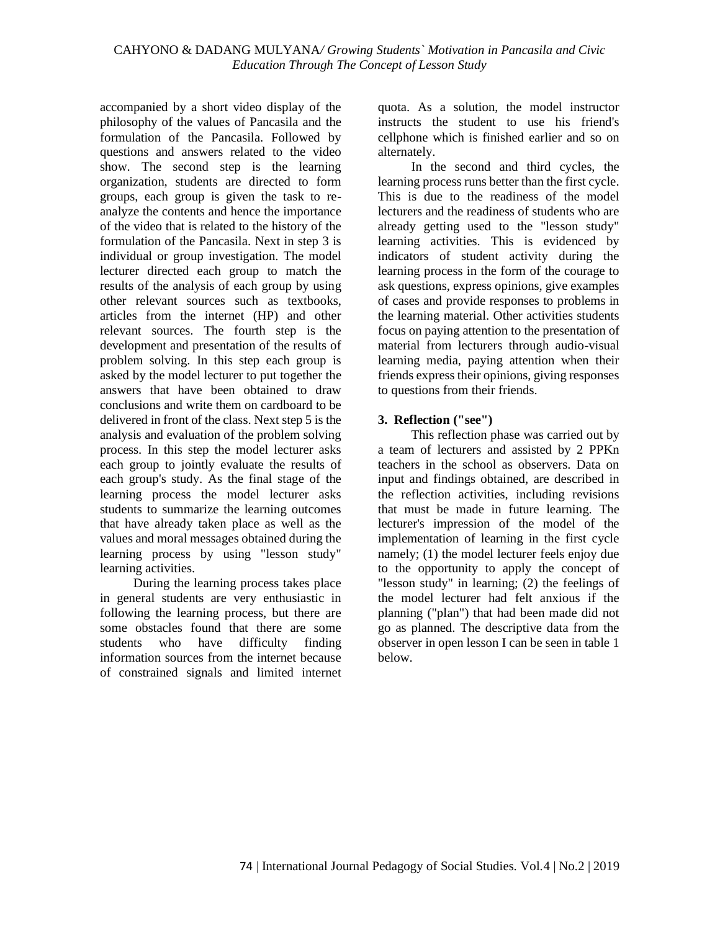accompanied by a short video display of the philosophy of the values of Pancasila and the formulation of the Pancasila. Followed by questions and answers related to the video show. The second step is the learning organization, students are directed to form groups, each group is given the task to reanalyze the contents and hence the importance of the video that is related to the history of the formulation of the Pancasila. Next in step 3 is individual or group investigation. The model lecturer directed each group to match the results of the analysis of each group by using other relevant sources such as textbooks, articles from the internet (HP) and other relevant sources. The fourth step is the development and presentation of the results of problem solving. In this step each group is asked by the model lecturer to put together the answers that have been obtained to draw conclusions and write them on cardboard to be delivered in front of the class. Next step 5 is the analysis and evaluation of the problem solving process. In this step the model lecturer asks each group to jointly evaluate the results of each group's study. As the final stage of the learning process the model lecturer asks students to summarize the learning outcomes that have already taken place as well as the values and moral messages obtained during the learning process by using "lesson study" learning activities.

During the learning process takes place in general students are very enthusiastic in following the learning process, but there are some obstacles found that there are some students who have difficulty finding information sources from the internet because of constrained signals and limited internet quota. As a solution, the model instructor instructs the student to use his friend's cellphone which is finished earlier and so on alternately.

In the second and third cycles, the learning process runs better than the first cycle. This is due to the readiness of the model lecturers and the readiness of students who are already getting used to the "lesson study" learning activities. This is evidenced by indicators of student activity during the learning process in the form of the courage to ask questions, express opinions, give examples of cases and provide responses to problems in the learning material. Other activities students focus on paying attention to the presentation of material from lecturers through audio-visual learning media, paying attention when their friends express their opinions, giving responses to questions from their friends.

### **3. Reflection ("see")**

This reflection phase was carried out by a team of lecturers and assisted by 2 PPKn teachers in the school as observers. Data on input and findings obtained, are described in the reflection activities, including revisions that must be made in future learning. The lecturer's impression of the model of the implementation of learning in the first cycle namely; (1) the model lecturer feels enjoy due to the opportunity to apply the concept of "lesson study" in learning; (2) the feelings of the model lecturer had felt anxious if the planning ("plan") that had been made did not go as planned. The descriptive data from the observer in open lesson I can be seen in table 1 below.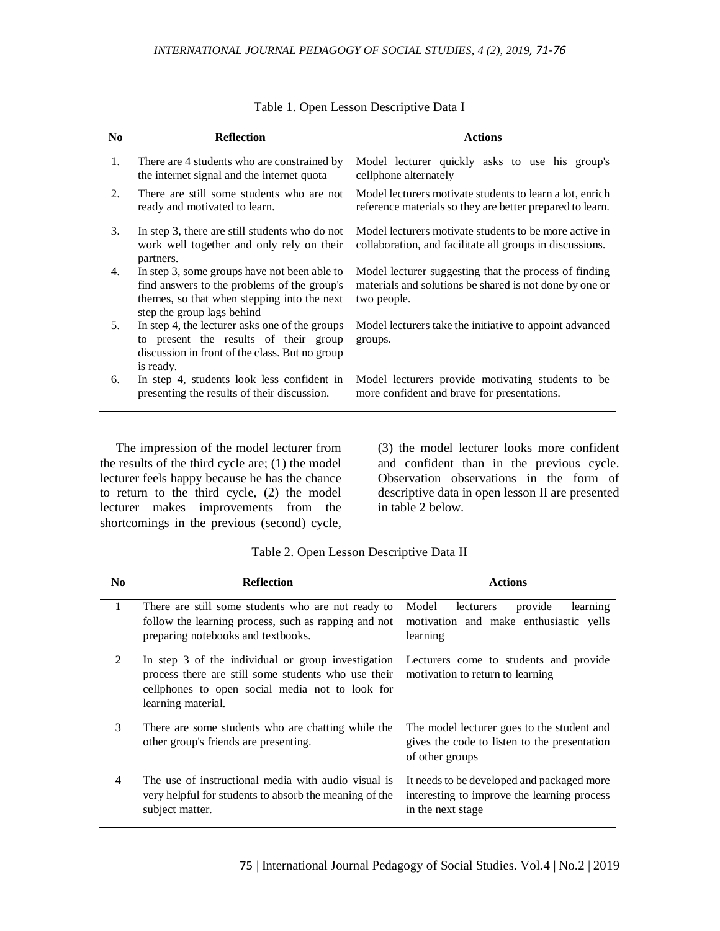| N <sub>0</sub> | <b>Reflection</b>                                                                                                                                                        | <b>Actions</b>                                                                                                                  |
|----------------|--------------------------------------------------------------------------------------------------------------------------------------------------------------------------|---------------------------------------------------------------------------------------------------------------------------------|
| 1.             | There are 4 students who are constrained by<br>the internet signal and the internet quota                                                                                | Model lecturer quickly asks to use his group's<br>cellphone alternately                                                         |
| 2.             | There are still some students who are not<br>ready and motivated to learn.                                                                                               | Model lecturers motivate students to learn a lot, enrich<br>reference materials so they are better prepared to learn.           |
| 3.             | In step 3, there are still students who do not<br>work well together and only rely on their<br>partners.                                                                 | Model lecturers motivate students to be more active in<br>collaboration, and facilitate all groups in discussions.              |
| 4.             | In step 3, some groups have not been able to<br>find answers to the problems of the group's<br>themes, so that when stepping into the next<br>step the group lags behind | Model lecturer suggesting that the process of finding<br>materials and solutions be shared is not done by one or<br>two people. |
| 5.             | In step 4, the lecturer asks one of the groups<br>to present the results of their group<br>discussion in front of the class. But no group<br>is ready.                   | Model lecturers take the initiative to appoint advanced<br>groups.                                                              |
| 6.             | In step 4, students look less confident in<br>presenting the results of their discussion.                                                                                | Model lecturers provide motivating students to be<br>more confident and brave for presentations.                                |
|                |                                                                                                                                                                          |                                                                                                                                 |

Table 1. Open Lesson Descriptive Data I

The impression of the model lecturer from the results of the third cycle are; (1) the model lecturer feels happy because he has the chance to return to the third cycle, (2) the model lecturer makes improvements from the shortcomings in the previous (second) cycle, (3) the model lecturer looks more confident and confident than in the previous cycle. Observation observations in the form of descriptive data in open lesson II are presented in table 2 below.

| Table 2. Open Lesson Descriptive Data II |  |  |  |  |  |  |
|------------------------------------------|--|--|--|--|--|--|
|------------------------------------------|--|--|--|--|--|--|

| N <sub>0</sub> | <b>Reflection</b>                                                                                                                                                                  | <b>Actions</b>                                                                                                 |
|----------------|------------------------------------------------------------------------------------------------------------------------------------------------------------------------------------|----------------------------------------------------------------------------------------------------------------|
| 1              | There are still some students who are not ready to<br>follow the learning process, such as rapping and not<br>preparing notebooks and textbooks.                                   | Model<br>lecturers<br>provide<br>learning<br>motivation and make enthusiastic yells<br>learning                |
| 2              | In step 3 of the individual or group investigation<br>process there are still some students who use their<br>cellphones to open social media not to look for<br>learning material. | Lecturers come to students and provide<br>motivation to return to learning                                     |
| 3              | There are some students who are chatting while the<br>other group's friends are presenting.                                                                                        | The model lecturer goes to the student and<br>gives the code to listen to the presentation<br>of other groups  |
| 4              | The use of instructional media with audio visual is<br>very helpful for students to absorb the meaning of the<br>subject matter.                                                   | It needs to be developed and packaged more<br>interesting to improve the learning process<br>in the next stage |